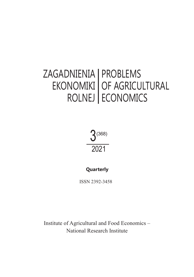#### ZAGADNIENIA | PROBLEMS EKONOMIKI **ECONOMIC ROLINE** UF AGRICUL **ECONO** EKONOMIKI ROLNEJ OF AGRICULTURAL ECONOMICS



# **Quarterly**

ISSN 2392-3458

**Participation Research Institute** Institute of Agricultural and Food Economics –